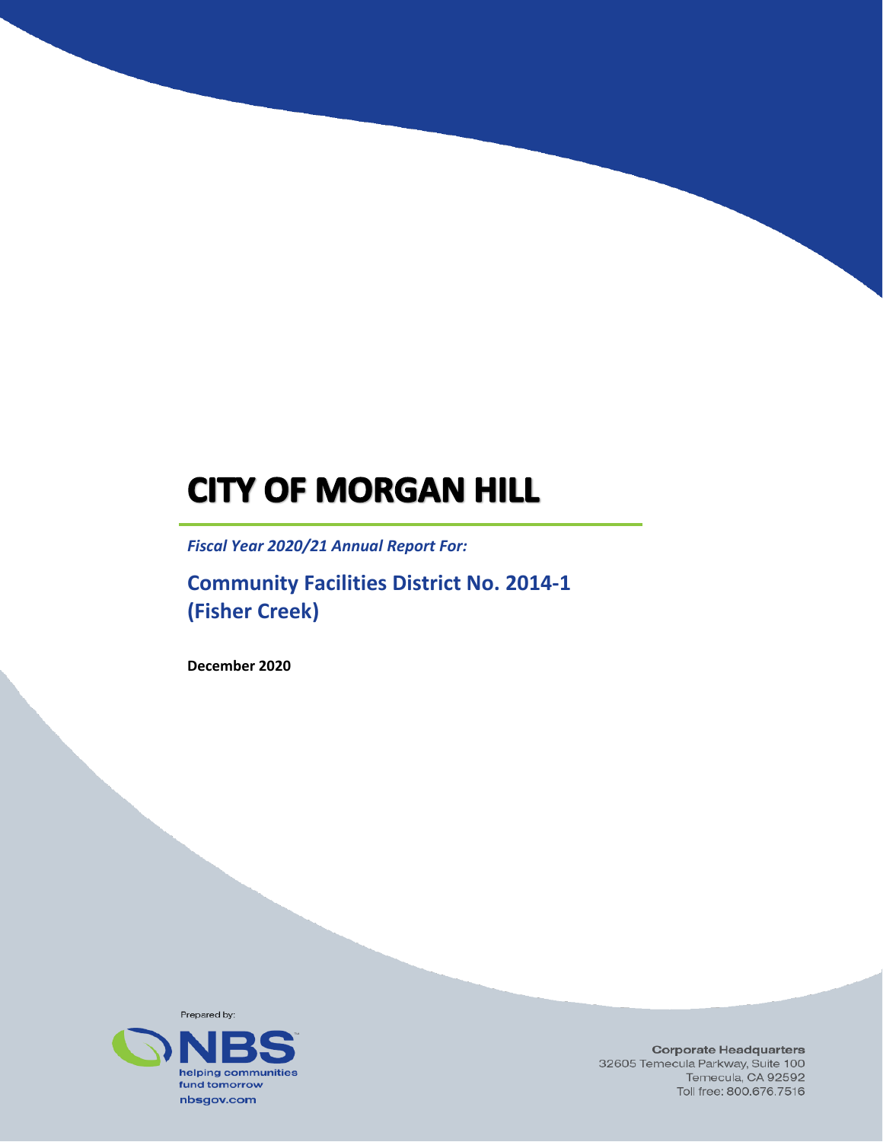# **CITY OF MORGAN HILL**

*Fiscal Year 2020/21 Annual Report For:*

**Community Facilities District No. 2014-1 (Fisher Creek)**

**December 2020**



**Corporate Headquarters** 32605 Temecula Parkway, Suite 100 Temecula, CA 92592 Toll free: 800.676.7516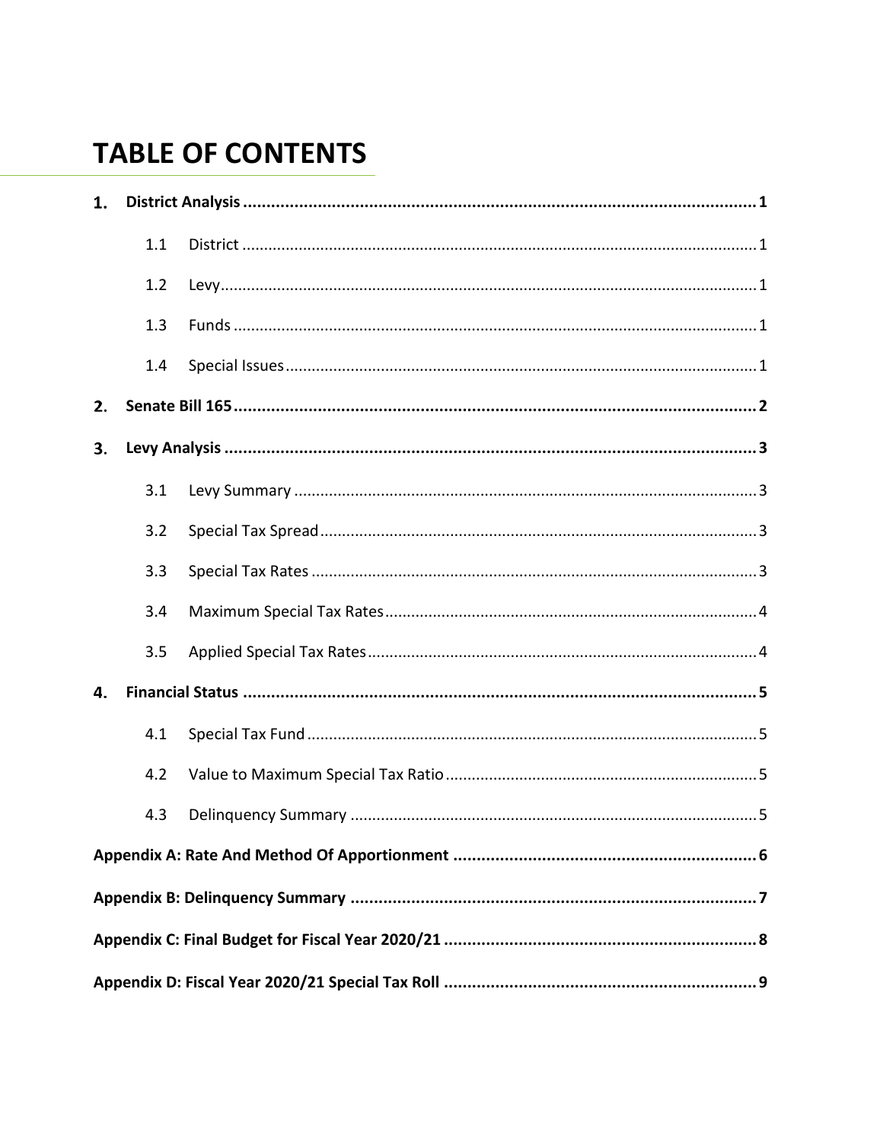## **TABLE OF CONTENTS**

| 1. |     |  |  |  |
|----|-----|--|--|--|
|    | 1.1 |  |  |  |
|    | 1.2 |  |  |  |
|    | 1.3 |  |  |  |
|    | 1.4 |  |  |  |
| 2. |     |  |  |  |
| 3. |     |  |  |  |
|    | 3.1 |  |  |  |
|    | 3.2 |  |  |  |
|    | 3.3 |  |  |  |
|    | 3.4 |  |  |  |
|    | 3.5 |  |  |  |
| 4. |     |  |  |  |
|    | 4.1 |  |  |  |
|    | 4.2 |  |  |  |
|    | 4.3 |  |  |  |
|    |     |  |  |  |
|    |     |  |  |  |
|    |     |  |  |  |
|    |     |  |  |  |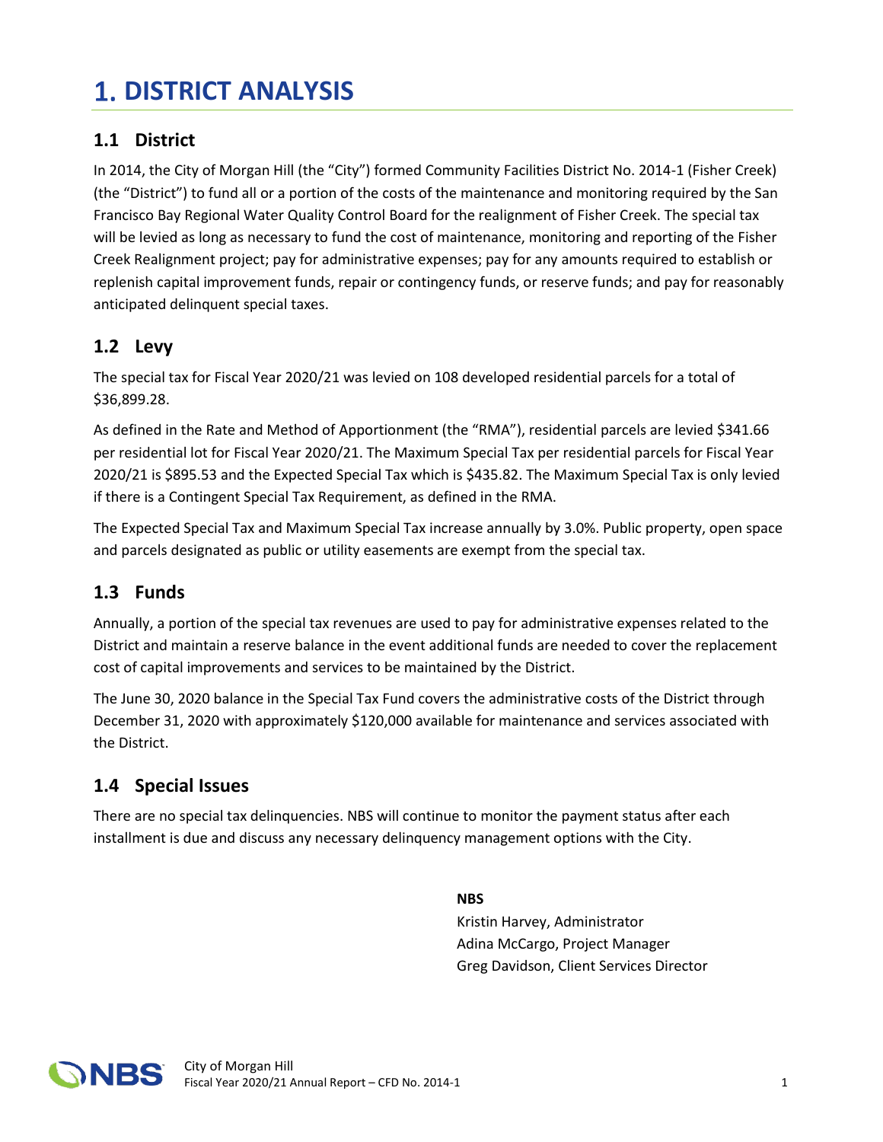## <span id="page-2-0"></span>**DISTRICT ANALYSIS**

### <span id="page-2-1"></span>**1.1 District**

In 2014, the City of Morgan Hill (the "City") formed Community Facilities District No. 2014-1 (Fisher Creek) (the "District") to fund all or a portion of the costs of the maintenance and monitoring required by the San Francisco Bay Regional Water Quality Control Board for the realignment of Fisher Creek. The special tax will be levied as long as necessary to fund the cost of maintenance, monitoring and reporting of the Fisher Creek Realignment project; pay for administrative expenses; pay for any amounts required to establish or replenish capital improvement funds, repair or contingency funds, or reserve funds; and pay for reasonably anticipated delinquent special taxes.

#### <span id="page-2-2"></span>**1.2 Levy**

The special tax for Fiscal Year 2020/21 was levied on 108 developed residential parcels for a total of \$36,899.28.

As defined in the Rate and Method of Apportionment (the "RMA"), residential parcels are levied \$341.66 per residential lot for Fiscal Year 2020/21. The Maximum Special Tax per residential parcels for Fiscal Year 2020/21 is \$895.53 and the Expected Special Tax which is \$435.82. The Maximum Special Tax is only levied if there is a Contingent Special Tax Requirement, as defined in the RMA.

The Expected Special Tax and Maximum Special Tax increase annually by 3.0%. Public property, open space and parcels designated as public or utility easements are exempt from the special tax.

### <span id="page-2-3"></span>**1.3 Funds**

Annually, a portion of the special tax revenues are used to pay for administrative expenses related to the District and maintain a reserve balance in the event additional funds are needed to cover the replacement cost of capital improvements and services to be maintained by the District.

The June 30, 2020 balance in the Special Tax Fund covers the administrative costs of the District through December 31, 2020 with approximately \$120,000 available for maintenance and services associated with the District.

### <span id="page-2-4"></span>**1.4 Special Issues**

There are no special tax delinquencies. NBS will continue to monitor the payment status after each installment is due and discuss any necessary delinquency management options with the City.

#### **NBS**

Kristin Harvey, Administrator Adina McCargo, Project Manager Greg Davidson, Client Services Director

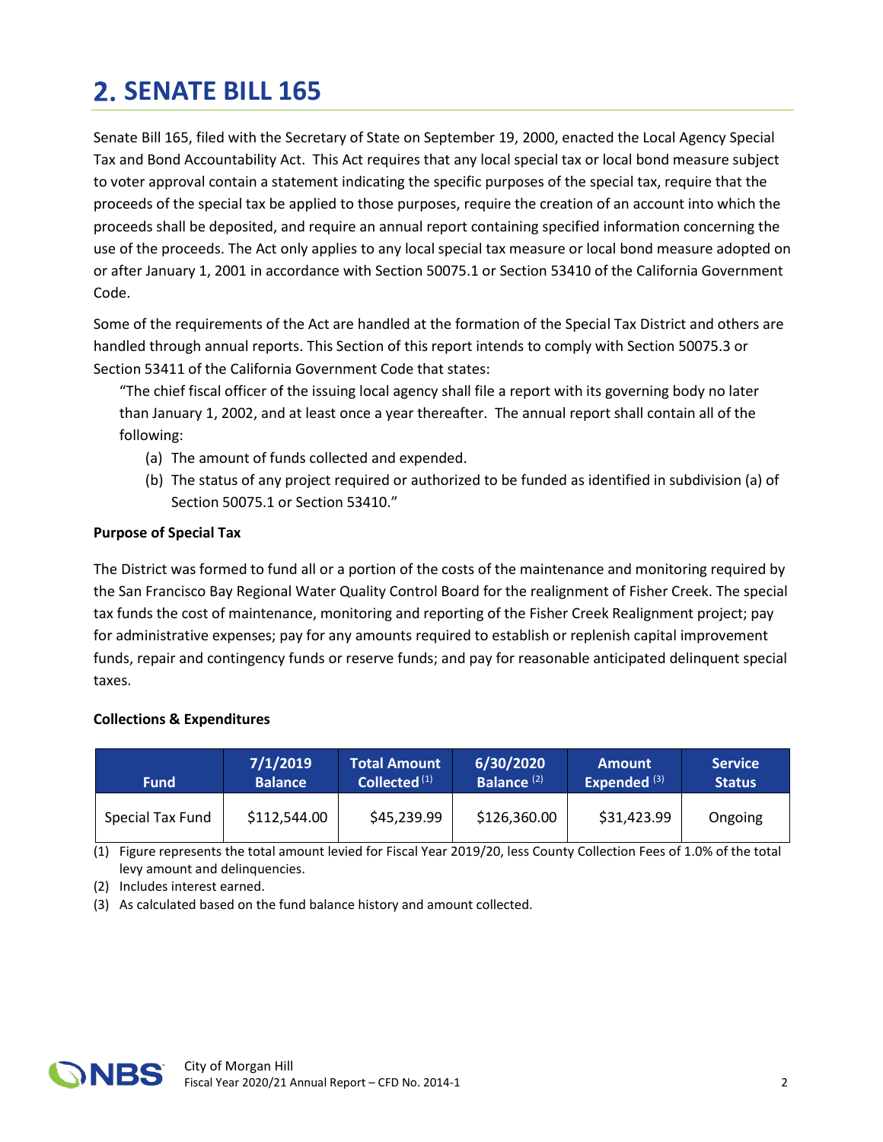## <span id="page-3-0"></span>**SENATE BILL 165**

Senate Bill 165, filed with the Secretary of State on September 19, 2000, enacted the Local Agency Special Tax and Bond Accountability Act. This Act requires that any local special tax or local bond measure subject to voter approval contain a statement indicating the specific purposes of the special tax, require that the proceeds of the special tax be applied to those purposes, require the creation of an account into which the proceeds shall be deposited, and require an annual report containing specified information concerning the use of the proceeds. The Act only applies to any local special tax measure or local bond measure adopted on or after January 1, 2001 in accordance with Section 50075.1 or Section 53410 of the California Government Code.

Some of the requirements of the Act are handled at the formation of the Special Tax District and others are handled through annual reports. This Section of this report intends to comply with Section 50075.3 or Section 53411 of the California Government Code that states:

"The chief fiscal officer of the issuing local agency shall file a report with its governing body no later than January 1, 2002, and at least once a year thereafter. The annual report shall contain all of the following:

- (a) The amount of funds collected and expended.
- (b) The status of any project required or authorized to be funded as identified in subdivision (a) of Section 50075.1 or Section 53410."

#### **Purpose of Special Tax**

The District was formed to fund all or a portion of the costs of the maintenance and monitoring required by the San Francisco Bay Regional Water Quality Control Board for the realignment of Fisher Creek. The special tax funds the cost of maintenance, monitoring and reporting of the Fisher Creek Realignment project; pay for administrative expenses; pay for any amounts required to establish or replenish capital improvement funds, repair and contingency funds or reserve funds; and pay for reasonable anticipated delinquent special taxes.

#### **Collections & Expenditures**

| <b>Fund</b>      | 7/1/2019       | Total Amount             | 6/30/2020                     | <b>Amount</b>  | <b>Service</b> |
|------------------|----------------|--------------------------|-------------------------------|----------------|----------------|
|                  | <b>Balance</b> | Collected <sup>(1)</sup> | <b>Balance</b> <sup>(2)</sup> | Expended $(3)$ | <b>Status</b>  |
| Special Tax Fund | \$112,544.00   | \$45,239.99              | \$126,360.00                  | \$31,423.99    | Ongoing        |

(1) Figure represents the total amount levied for Fiscal Year 2019/20, less County Collection Fees of 1.0% of the total levy amount and delinquencies.

(2) Includes interest earned.

(3) As calculated based on the fund balance history and amount collected.

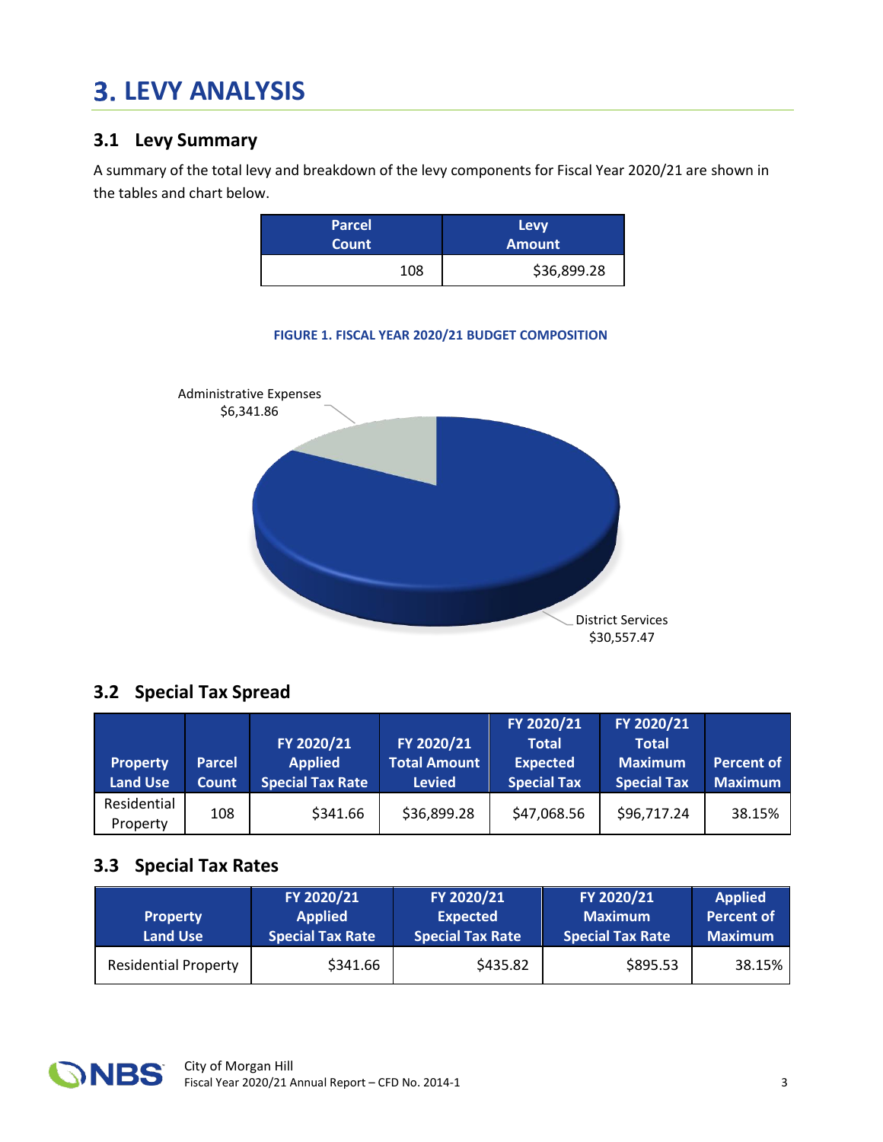## <span id="page-4-0"></span>**LEVY ANALYSIS**

### <span id="page-4-1"></span>**3.1 Levy Summary**

A summary of the total levy and breakdown of the levy components for Fiscal Year 2020/21 are shown in the tables and chart below.

| <b>Parcel</b> | Levy          |
|---------------|---------------|
| <b>Count</b>  | <b>Amount</b> |
| 108           | \$36,899.28   |

**FIGURE 1. FISCAL YEAR 2020/21 BUDGET COMPOSITION**



### <span id="page-4-2"></span>**3.2 Special Tax Spread**

|                         |               |                         |                     | FY 2020/21         | FY 2020/21         |                   |
|-------------------------|---------------|-------------------------|---------------------|--------------------|--------------------|-------------------|
|                         |               | FY 2020/21              | FY 2020/21          | <b>Total</b>       | <b>Total</b>       |                   |
| <b>Property</b>         | <b>Parcel</b> | <b>Applied</b>          | <b>Total Amount</b> | <b>Expected</b>    | <b>Maximum</b>     | <b>Percent of</b> |
| <b>Land Use</b>         | <b>Count</b>  | <b>Special Tax Rate</b> | <b>Levied</b>       | <b>Special Tax</b> | <b>Special Tax</b> | <b>Maximum</b>    |
| Residential<br>Property | 108           | \$341.66                | \$36,899.28         | \$47,068.56        | \$96,717.24        | 38.15%            |

#### <span id="page-4-3"></span>**3.3 Special Tax Rates**

| <b>Property</b><br><b>Land Use</b> | FY 2020/21<br><b>Applied</b><br><b>Special Tax Rate</b> | FY 2020/21<br><b>Expected</b><br><b>Special Tax Rate</b> | FY 2020/21<br><b>Maximum</b><br><b>Special Tax Rate</b> | <b>Applied</b><br><b>Percent of</b><br><b>Maximum</b> |
|------------------------------------|---------------------------------------------------------|----------------------------------------------------------|---------------------------------------------------------|-------------------------------------------------------|
| <b>Residential Property</b>        | \$341.66                                                | \$435.82                                                 | \$895.53                                                | 38.15%                                                |

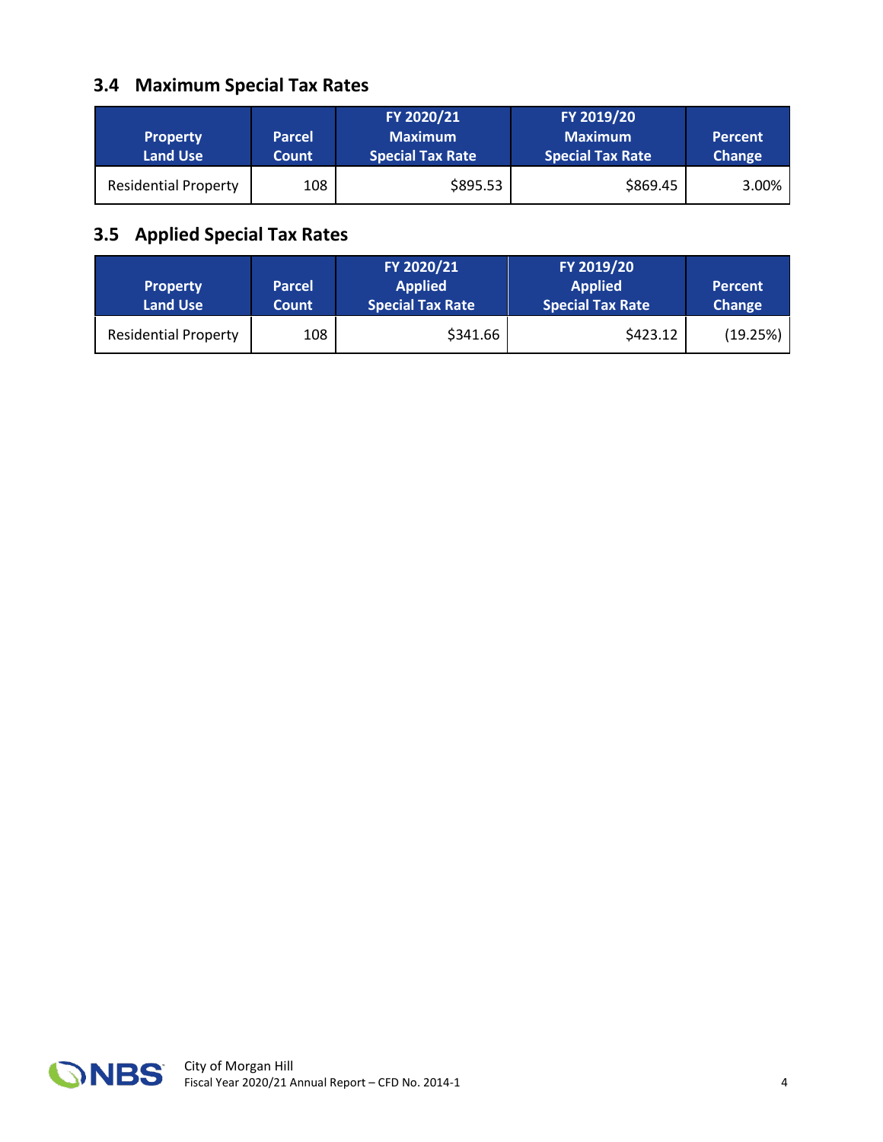## <span id="page-5-0"></span>**3.4 Maximum Special Tax Rates**

| <b>Property</b><br><b>Land Use</b> | <b>Parcel</b><br><b>Count</b> | FY 2020/21<br><b>Maximum</b><br><b>Special Tax Rate</b> | FY 2019/20<br><b>Maximum</b><br><b>Special Tax Rate</b> | <b>Percent</b><br><b>Change</b> |
|------------------------------------|-------------------------------|---------------------------------------------------------|---------------------------------------------------------|---------------------------------|
| <b>Residential Property</b>        | 108                           | \$895.53                                                | \$869.45                                                | 3.00%                           |

## <span id="page-5-1"></span>**3.5 Applied Special Tax Rates**

| <b>Property</b><br><b>Land Use</b> | <b>Parcel</b><br>Count | FY 2020/21<br><b>Applied</b><br><b>Special Tax Rate</b> | FY 2019/20<br><b>Applied</b><br><b>Special Tax Rate</b> | <b>Percent</b><br><b>Change</b> |
|------------------------------------|------------------------|---------------------------------------------------------|---------------------------------------------------------|---------------------------------|
| <b>Residential Property</b>        | 108                    | \$341.66                                                | \$423.12                                                | (19.25%)                        |

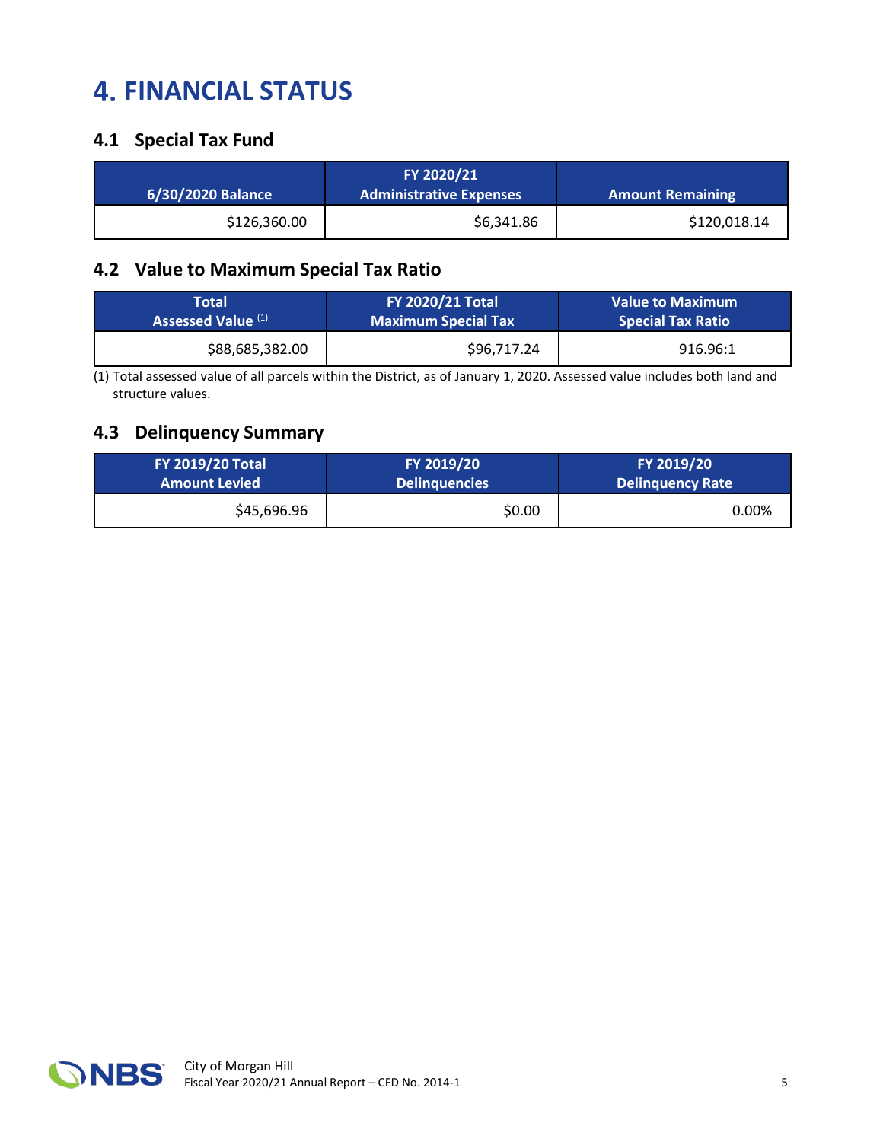## <span id="page-6-0"></span>**4. FINANCIAL STATUS**

### <span id="page-6-1"></span>**4.1 Special Tax Fund**

| 6/30/2020 Balance | FY 2020/21<br><b>Administrative Expenses</b> | <b>Amount Remaining</b> |
|-------------------|----------------------------------------------|-------------------------|
| \$126,360.00      | \$6,341.86                                   | \$120,018.14            |

#### <span id="page-6-2"></span>**4.2 Value to Maximum Special Tax Ratio**

| <b>Total</b>       | <b>FY 2020/21 Total</b>    | <b>Value to Maximum</b>  |
|--------------------|----------------------------|--------------------------|
| Assessed Value (1) | <b>Maximum Special Tax</b> | <b>Special Tax Ratio</b> |
| \$88,685,382.00    | \$96,717.24                | 916.96:1                 |

(1) Total assessed value of all parcels within the District, as of January 1, 2020. Assessed value includes both land and structure values.

## <span id="page-6-3"></span>**4.3 Delinquency Summary**

| <b>FY 2019/20 Total</b> | FY 2019/20           | FY 2019/20       |
|-------------------------|----------------------|------------------|
| <b>Amount Levied</b>    | <b>Delinguencies</b> | Delinquency Rate |
| \$45,696.96             | \$0.00               | 0.00%            |

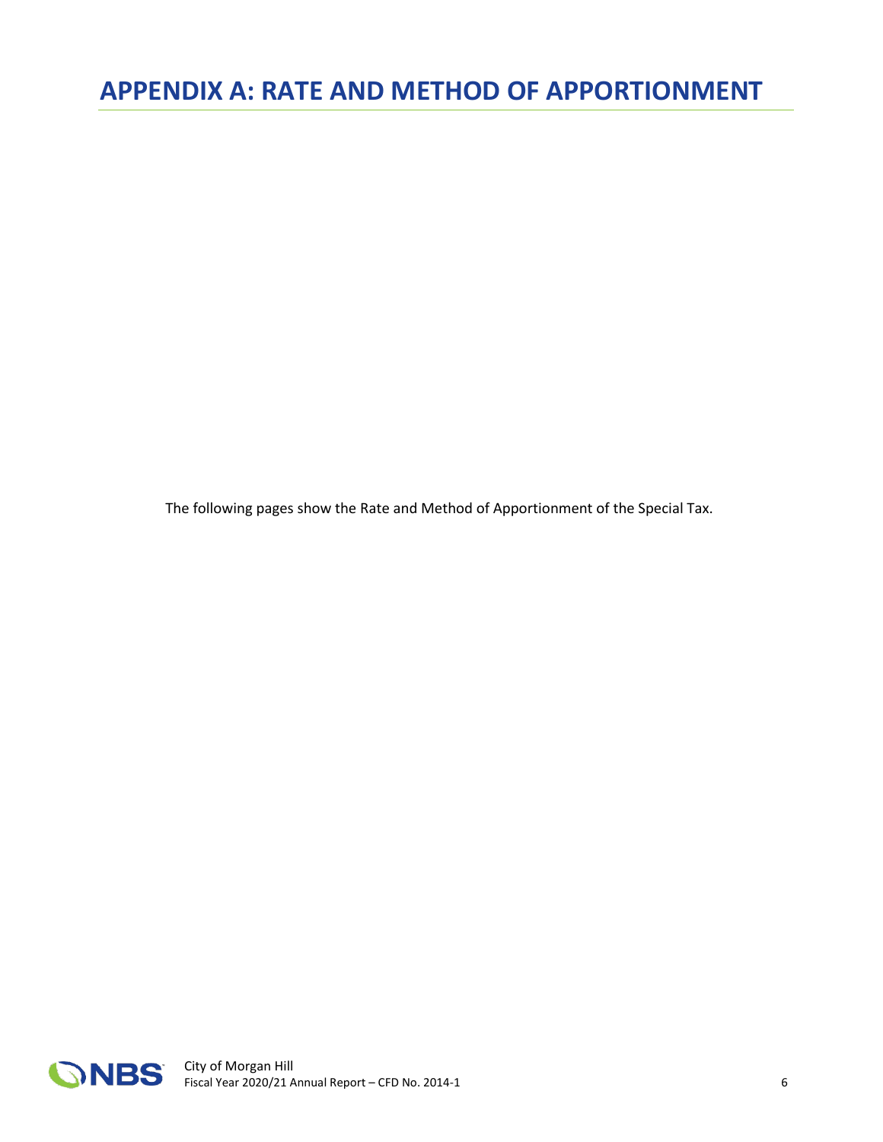<span id="page-7-0"></span>The following pages show the Rate and Method of Apportionment of the Special Tax.

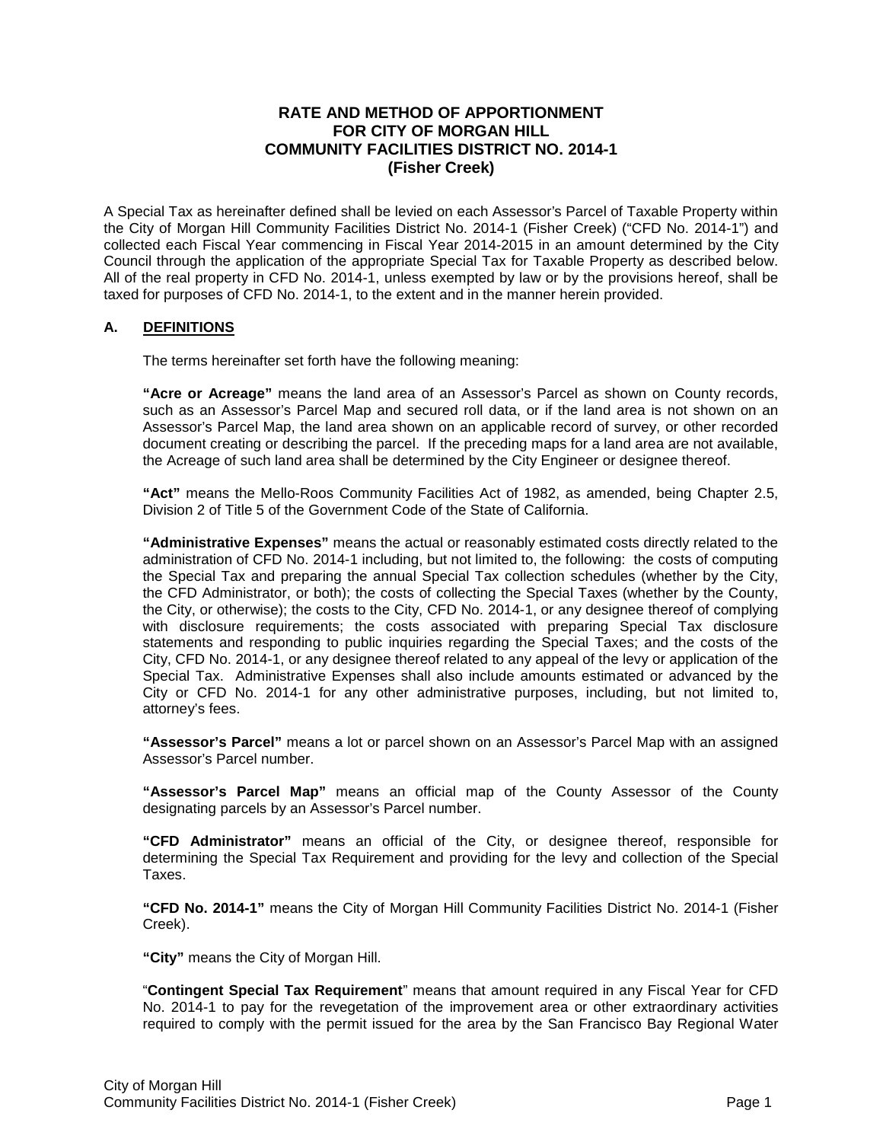#### **RATE AND METHOD OF APPORTIONMENT FOR CITY OF MORGAN HILL COMMUNITY FACILITIES DISTRICT NO. 2014-1 (Fisher Creek)**

A Special Tax as hereinafter defined shall be levied on each Assessor's Parcel of Taxable Property within the City of Morgan Hill Community Facilities District No. 2014-1 (Fisher Creek) ("CFD No. 2014-1") and collected each Fiscal Year commencing in Fiscal Year 2014-2015 in an amount determined by the City Council through the application of the appropriate Special Tax for Taxable Property as described below. All of the real property in CFD No. 2014-1, unless exempted by law or by the provisions hereof, shall be taxed for purposes of CFD No. 2014-1, to the extent and in the manner herein provided.

#### **A. DEFINITIONS**

The terms hereinafter set forth have the following meaning:

**"Acre or Acreage"** means the land area of an Assessor's Parcel as shown on County records, such as an Assessor's Parcel Map and secured roll data, or if the land area is not shown on an Assessor's Parcel Map, the land area shown on an applicable record of survey, or other recorded document creating or describing the parcel. If the preceding maps for a land area are not available, the Acreage of such land area shall be determined by the City Engineer or designee thereof.

**"Act"** means the Mello-Roos Community Facilities Act of 1982, as amended, being Chapter 2.5, Division 2 of Title 5 of the Government Code of the State of California.

**"Administrative Expenses"** means the actual or reasonably estimated costs directly related to the administration of CFD No. 2014-1 including, but not limited to, the following: the costs of computing the Special Tax and preparing the annual Special Tax collection schedules (whether by the City, the CFD Administrator, or both); the costs of collecting the Special Taxes (whether by the County, the City, or otherwise); the costs to the City, CFD No. 2014-1, or any designee thereof of complying with disclosure requirements; the costs associated with preparing Special Tax disclosure statements and responding to public inquiries regarding the Special Taxes; and the costs of the City, CFD No. 2014-1, or any designee thereof related to any appeal of the levy or application of the Special Tax. Administrative Expenses shall also include amounts estimated or advanced by the City or CFD No. 2014-1 for any other administrative purposes, including, but not limited to, attorney's fees.

**"Assessor's Parcel"** means a lot or parcel shown on an Assessor's Parcel Map with an assigned Assessor's Parcel number.

**"Assessor's Parcel Map"** means an official map of the County Assessor of the County designating parcels by an Assessor's Parcel number.

**"CFD Administrator"** means an official of the City, or designee thereof, responsible for determining the Special Tax Requirement and providing for the levy and collection of the Special Taxes.

**"CFD No. 2014-1"** means the City of Morgan Hill Community Facilities District No. 2014-1 (Fisher Creek).

**"City"** means the City of Morgan Hill.

"**Contingent Special Tax Requirement**" means that amount required in any Fiscal Year for CFD No. 2014-1 to pay for the revegetation of the improvement area or other extraordinary activities required to comply with the permit issued for the area by the San Francisco Bay Regional Water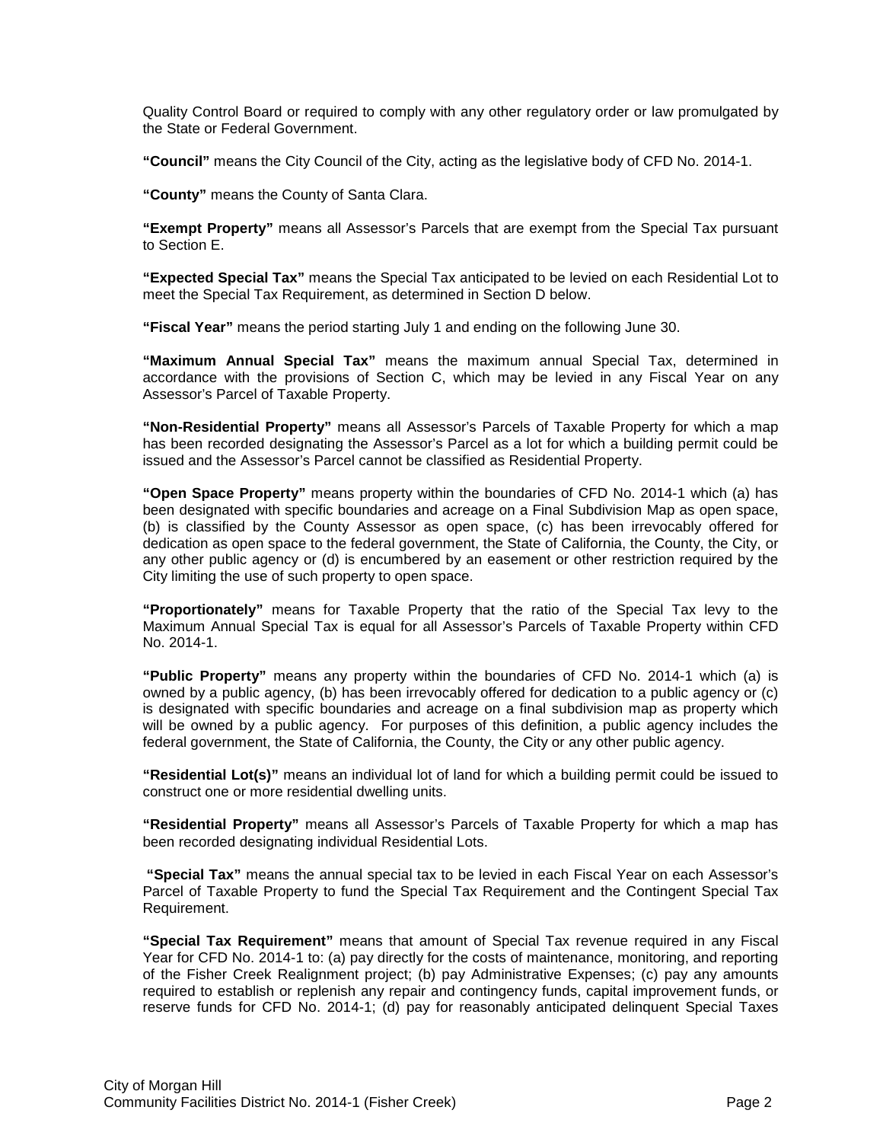Quality Control Board or required to comply with any other regulatory order or law promulgated by the State or Federal Government.

**"Council"** means the City Council of the City, acting as the legislative body of CFD No. 2014-1.

**"County"** means the County of Santa Clara.

**"Exempt Property"** means all Assessor's Parcels that are exempt from the Special Tax pursuant to Section E.

**"Expected Special Tax"** means the Special Tax anticipated to be levied on each Residential Lot to meet the Special Tax Requirement, as determined in Section D below.

**"Fiscal Year"** means the period starting July 1 and ending on the following June 30.

**"Maximum Annual Special Tax"** means the maximum annual Special Tax, determined in accordance with the provisions of Section C, which may be levied in any Fiscal Year on any Assessor's Parcel of Taxable Property.

**"Non-Residential Property"** means all Assessor's Parcels of Taxable Property for which a map has been recorded designating the Assessor's Parcel as a lot for which a building permit could be issued and the Assessor's Parcel cannot be classified as Residential Property.

**"Open Space Property"** means property within the boundaries of CFD No. 2014-1 which (a) has been designated with specific boundaries and acreage on a Final Subdivision Map as open space, (b) is classified by the County Assessor as open space, (c) has been irrevocably offered for dedication as open space to the federal government, the State of California, the County, the City, or any other public agency or (d) is encumbered by an easement or other restriction required by the City limiting the use of such property to open space.

**"Proportionately"** means for Taxable Property that the ratio of the Special Tax levy to the Maximum Annual Special Tax is equal for all Assessor's Parcels of Taxable Property within CFD No. 2014-1.

**"Public Property"** means any property within the boundaries of CFD No. 2014-1 which (a) is owned by a public agency, (b) has been irrevocably offered for dedication to a public agency or (c) is designated with specific boundaries and acreage on a final subdivision map as property which will be owned by a public agency. For purposes of this definition, a public agency includes the federal government, the State of California, the County, the City or any other public agency.

**"Residential Lot(s)"** means an individual lot of land for which a building permit could be issued to construct one or more residential dwelling units.

**"Residential Property"** means all Assessor's Parcels of Taxable Property for which a map has been recorded designating individual Residential Lots.

**"Special Tax"** means the annual special tax to be levied in each Fiscal Year on each Assessor's Parcel of Taxable Property to fund the Special Tax Requirement and the Contingent Special Tax Requirement.

**"Special Tax Requirement"** means that amount of Special Tax revenue required in any Fiscal Year for CFD No. 2014-1 to: (a) pay directly for the costs of maintenance, monitoring, and reporting of the Fisher Creek Realignment project; (b) pay Administrative Expenses; (c) pay any amounts required to establish or replenish any repair and contingency funds, capital improvement funds, or reserve funds for CFD No. 2014-1; (d) pay for reasonably anticipated delinquent Special Taxes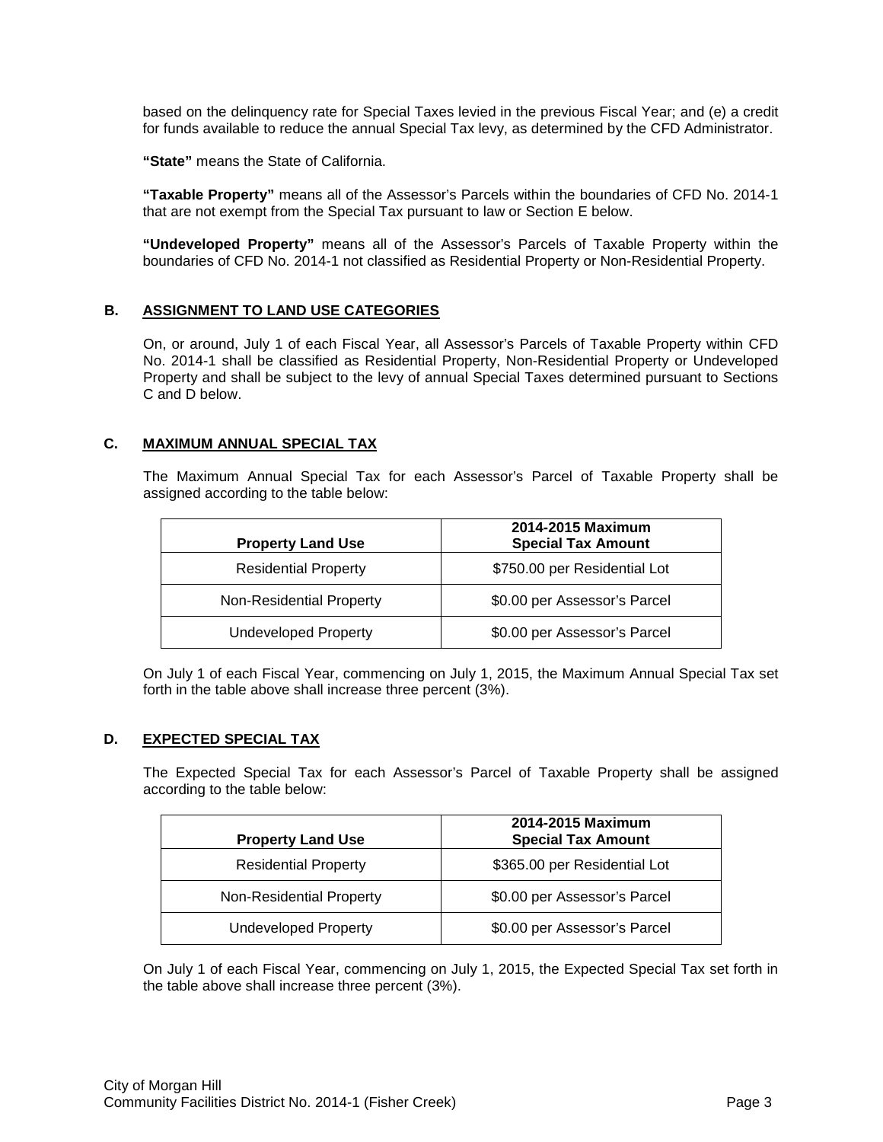based on the delinquency rate for Special Taxes levied in the previous Fiscal Year; and (e) a credit for funds available to reduce the annual Special Tax levy, as determined by the CFD Administrator.

**"State"** means the State of California.

**"Taxable Property"** means all of the Assessor's Parcels within the boundaries of CFD No. 2014-1 that are not exempt from the Special Tax pursuant to law or Section E below.

**"Undeveloped Property"** means all of the Assessor's Parcels of Taxable Property within the boundaries of CFD No. 2014-1 not classified as Residential Property or Non-Residential Property.

#### **B. ASSIGNMENT TO LAND USE CATEGORIES**

On, or around, July 1 of each Fiscal Year, all Assessor's Parcels of Taxable Property within CFD No. 2014-1 shall be classified as Residential Property, Non-Residential Property or Undeveloped Property and shall be subject to the levy of annual Special Taxes determined pursuant to Sections C and D below.

#### **C. MAXIMUM ANNUAL SPECIAL TAX**

The Maximum Annual Special Tax for each Assessor's Parcel of Taxable Property shall be assigned according to the table below:

| <b>Property Land Use</b>    | 2014-2015 Maximum<br><b>Special Tax Amount</b> |
|-----------------------------|------------------------------------------------|
| <b>Residential Property</b> | \$750.00 per Residential Lot                   |
| Non-Residential Property    | \$0.00 per Assessor's Parcel                   |
| <b>Undeveloped Property</b> | \$0.00 per Assessor's Parcel                   |

On July 1 of each Fiscal Year, commencing on July 1, 2015, the Maximum Annual Special Tax set forth in the table above shall increase three percent (3%).

#### **D. EXPECTED SPECIAL TAX**

The Expected Special Tax for each Assessor's Parcel of Taxable Property shall be assigned according to the table below:

| <b>Property Land Use</b>    | 2014-2015 Maximum<br><b>Special Tax Amount</b> |
|-----------------------------|------------------------------------------------|
| <b>Residential Property</b> | \$365.00 per Residential Lot                   |
| Non-Residential Property    | \$0.00 per Assessor's Parcel                   |
| <b>Undeveloped Property</b> | \$0.00 per Assessor's Parcel                   |

On July 1 of each Fiscal Year, commencing on July 1, 2015, the Expected Special Tax set forth in the table above shall increase three percent (3%).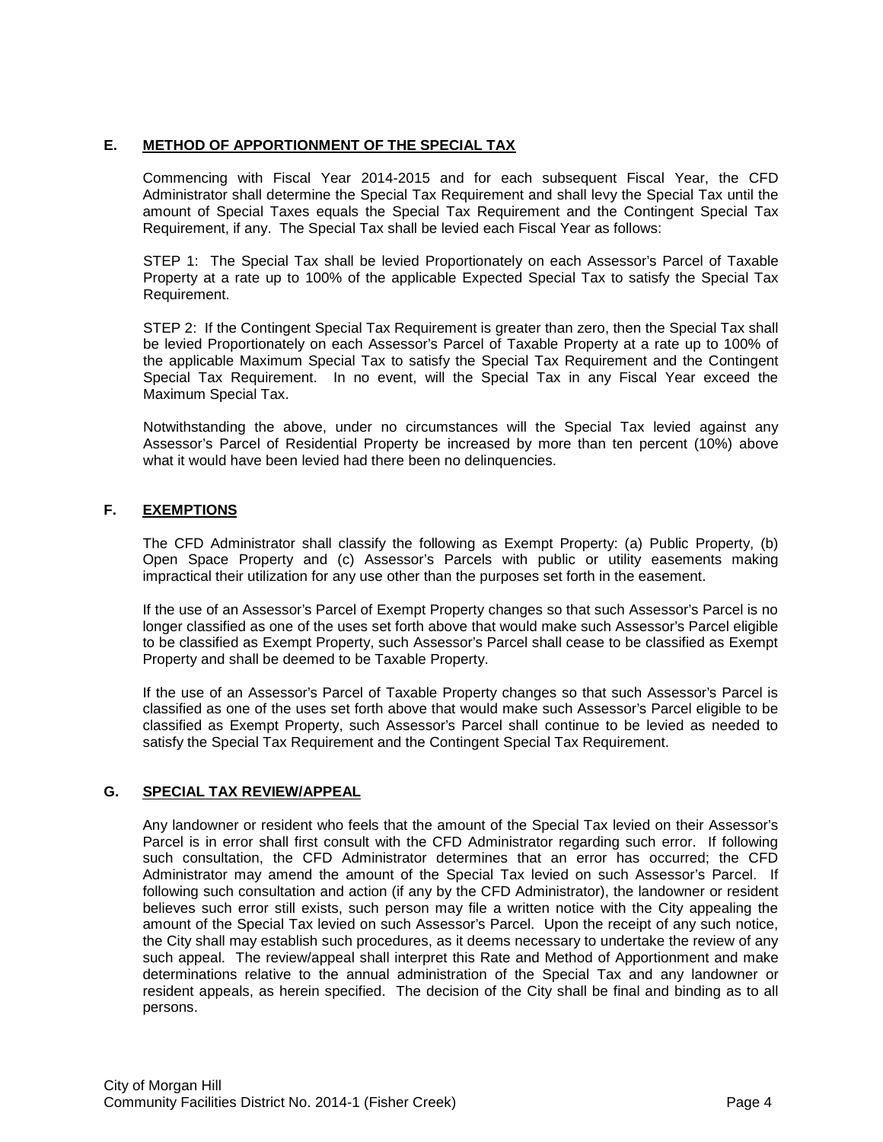#### **E. METHOD OF APPORTIONMENT OF THE SPECIAL TAX**

Commencing with Fiscal Year 2014-2015 and for each subsequent Fiscal Year, the CFD Administrator shall determine the Special Tax Requirement and shall levy the Special Tax until the amount of Special Taxes equals the Special Tax Requirement and the Contingent Special Tax Requirement, if any. The Special Tax shall be levied each Fiscal Year as follows:

STEP 1: The Special Tax shall be levied Proportionately on each Assessor's Parcel of Taxable Property at a rate up to 100% of the applicable Expected Special Tax to satisfy the Special Tax Requirement.

STEP 2: If the Contingent Special Tax Requirement is greater than zero, then the Special Tax shall be levied Proportionately on each Assessor's Parcel of Taxable Property at a rate up to 100% of the applicable Maximum Special Tax to satisfy the Special Tax Requirement and the Contingent Special Tax Requirement. In no event, will the Special Tax in any Fiscal Year exceed the Maximum Special Tax.

Notwithstanding the above, under no circumstances will the Special Tax levied against any Assessor's Parcel of Residential Property be increased by more than ten percent (10%) above what it would have been levied had there been no delinquencies.

#### **F. EXEMPTIONS**

The CFD Administrator shall classify the following as Exempt Property: (a) Public Property, (b) Open Space Property and (c) Assessor's Parcels with public or utility easements making impractical their utilization for any use other than the purposes set forth in the easement.

If the use of an Assessor's Parcel of Exempt Property changes so that such Assessor's Parcel is no longer classified as one of the uses set forth above that would make such Assessor's Parcel eligible to be classified as Exempt Property, such Assessor's Parcel shall cease to be classified as Exempt Property and shall be deemed to be Taxable Property.

If the use of an Assessor's Parcel of Taxable Property changes so that such Assessor's Parcel is classified as one of the uses set forth above that would make such Assessor's Parcel eligible to be classified as Exempt Property, such Assessor's Parcel shall continue to be levied as needed to satisfy the Special Tax Requirement and the Contingent Special Tax Requirement.

#### **G. SPECIAL TAX REVIEW/APPEAL**

Any landowner or resident who feels that the amount of the Special Tax levied on their Assessor's Parcel is in error shall first consult with the CFD Administrator regarding such error. If following such consultation, the CFD Administrator determines that an error has occurred; the CFD Administrator may amend the amount of the Special Tax levied on such Assessor's Parcel. If following such consultation and action (if any by the CFD Administrator), the landowner or resident believes such error still exists, such person may file a written notice with the City appealing the amount of the Special Tax levied on such Assessor's Parcel. Upon the receipt of any such notice, the City shall may establish such procedures, as it deems necessary to undertake the review of any such appeal. The review/appeal shall interpret this Rate and Method of Apportionment and make determinations relative to the annual administration of the Special Tax and any landowner or resident appeals, as herein specified. The decision of the City shall be final and binding as to all persons.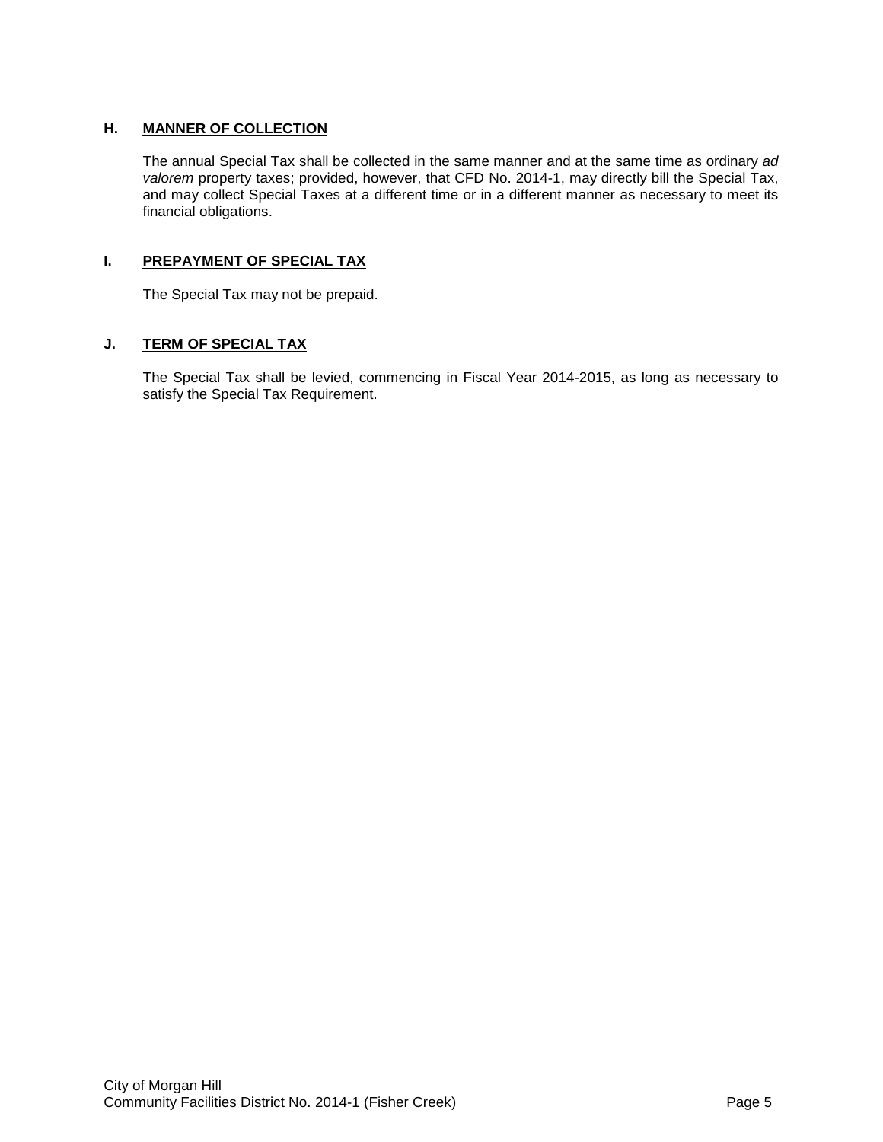#### **H. MANNER OF COLLECTION**

The annual Special Tax shall be collected in the same manner and at the same time as ordinary *ad valorem* property taxes; provided, however, that CFD No. 2014-1, may directly bill the Special Tax, and may collect Special Taxes at a different time or in a different manner as necessary to meet its financial obligations.

#### **I. PREPAYMENT OF SPECIAL TAX**

The Special Tax may not be prepaid.

#### **J. TERM OF SPECIAL TAX**

The Special Tax shall be levied, commencing in Fiscal Year 2014-2015, as long as necessary to satisfy the Special Tax Requirement.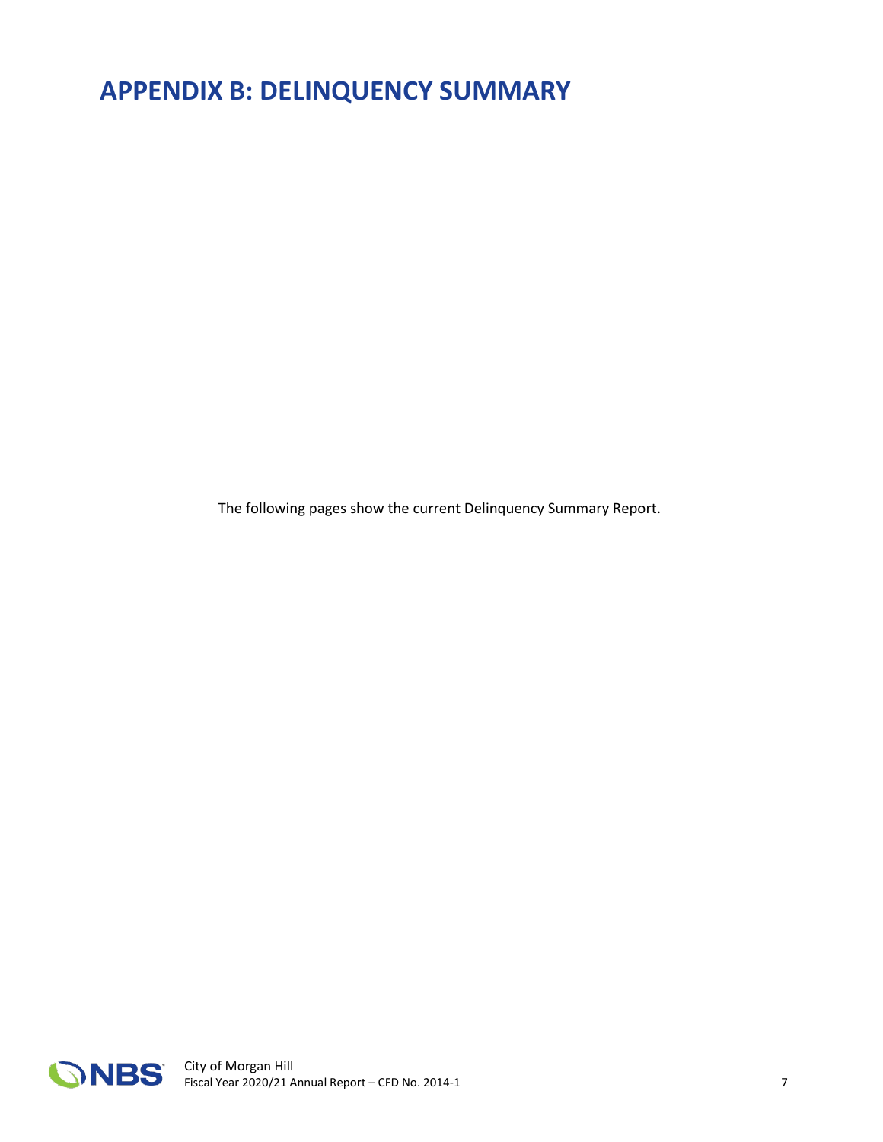<span id="page-13-0"></span>The following pages show the current Delinquency Summary Report.

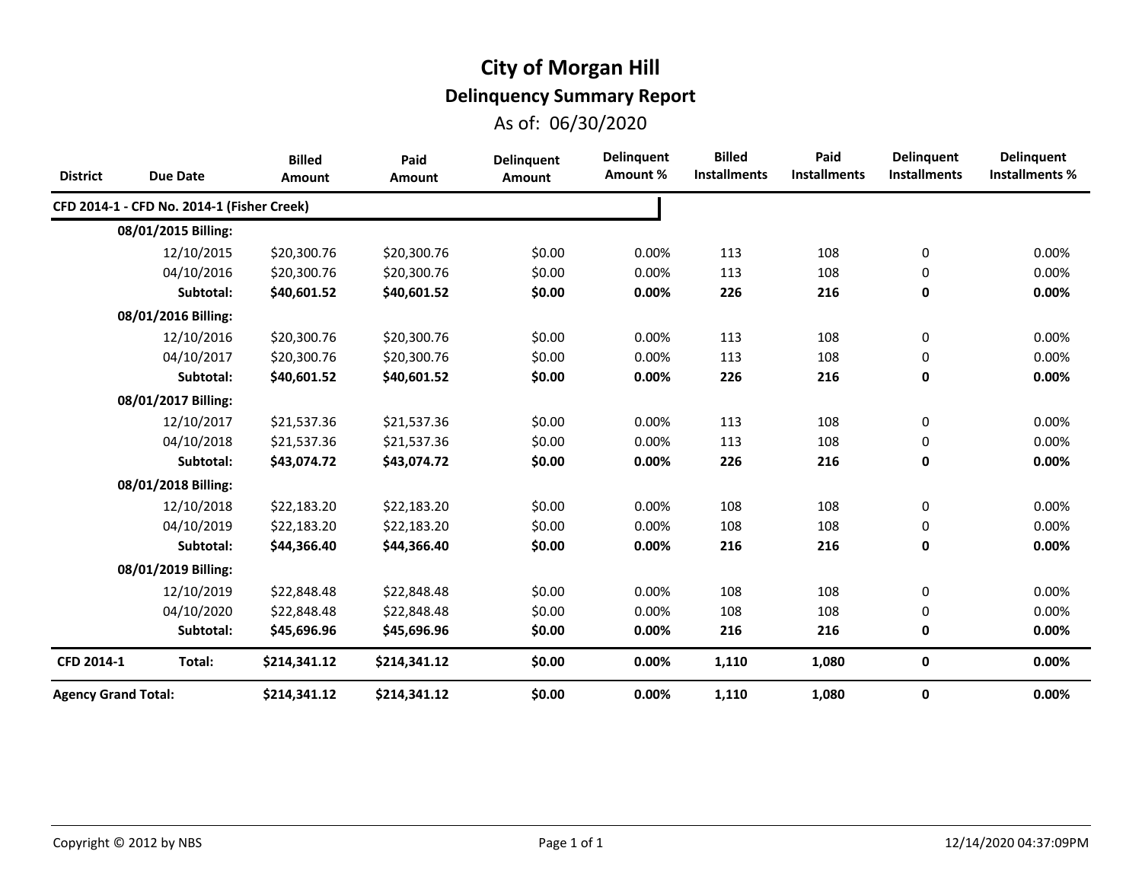## **City of Morgan Hill**

## **Delinquency Summary Report**

As of: 06/30/2020

| <b>District</b>            | <b>Due Date</b>                            | <b>Billed</b><br><b>Amount</b> | Paid<br>Amount | <b>Delinquent</b><br><b>Amount</b> | <b>Delinquent</b><br>Amount % | <b>Billed</b><br><b>Installments</b> | Paid<br><b>Installments</b> | <b>Delinquent</b><br><b>Installments</b> | <b>Delinquent</b><br><b>Installments %</b> |
|----------------------------|--------------------------------------------|--------------------------------|----------------|------------------------------------|-------------------------------|--------------------------------------|-----------------------------|------------------------------------------|--------------------------------------------|
|                            | CFD 2014-1 - CFD No. 2014-1 (Fisher Creek) |                                |                |                                    |                               |                                      |                             |                                          |                                            |
|                            | 08/01/2015 Billing:                        |                                |                |                                    |                               |                                      |                             |                                          |                                            |
|                            | 12/10/2015                                 | \$20,300.76                    | \$20,300.76    | \$0.00                             | 0.00%                         | 113                                  | 108                         | 0                                        | 0.00%                                      |
|                            | 04/10/2016                                 | \$20,300.76                    | \$20,300.76    | \$0.00                             | 0.00%                         | 113                                  | 108                         | 0                                        | 0.00%                                      |
|                            | Subtotal:                                  | \$40,601.52                    | \$40,601.52    | \$0.00                             | 0.00%                         | 226                                  | 216                         | 0                                        | 0.00%                                      |
|                            | 08/01/2016 Billing:                        |                                |                |                                    |                               |                                      |                             |                                          |                                            |
|                            | 12/10/2016                                 | \$20,300.76                    | \$20,300.76    | \$0.00                             | 0.00%                         | 113                                  | 108                         | 0                                        | 0.00%                                      |
|                            | 04/10/2017                                 | \$20,300.76                    | \$20,300.76    | \$0.00                             | 0.00%                         | 113                                  | 108                         | 0                                        | 0.00%                                      |
|                            | Subtotal:                                  | \$40,601.52                    | \$40,601.52    | \$0.00                             | 0.00%                         | 226                                  | 216                         | 0                                        | 0.00%                                      |
|                            | 08/01/2017 Billing:                        |                                |                |                                    |                               |                                      |                             |                                          |                                            |
|                            | 12/10/2017                                 | \$21,537.36                    | \$21,537.36    | \$0.00                             | 0.00%                         | 113                                  | 108                         | 0                                        | 0.00%                                      |
|                            | 04/10/2018                                 | \$21,537.36                    | \$21,537.36    | \$0.00                             | 0.00%                         | 113                                  | 108                         | 0                                        | 0.00%                                      |
|                            | Subtotal:                                  | \$43,074.72                    | \$43,074.72    | \$0.00                             | 0.00%                         | 226                                  | 216                         | 0                                        | 0.00%                                      |
|                            | 08/01/2018 Billing:                        |                                |                |                                    |                               |                                      |                             |                                          |                                            |
|                            | 12/10/2018                                 | \$22,183.20                    | \$22,183.20    | \$0.00                             | 0.00%                         | 108                                  | 108                         | 0                                        | 0.00%                                      |
|                            | 04/10/2019                                 | \$22,183.20                    | \$22,183.20    | \$0.00                             | 0.00%                         | 108                                  | 108                         | 0                                        | 0.00%                                      |
|                            | Subtotal:                                  | \$44,366.40                    | \$44,366.40    | \$0.00                             | 0.00%                         | 216                                  | 216                         | 0                                        | 0.00%                                      |
|                            | 08/01/2019 Billing:                        |                                |                |                                    |                               |                                      |                             |                                          |                                            |
|                            | 12/10/2019                                 | \$22,848.48                    | \$22,848.48    | \$0.00                             | 0.00%                         | 108                                  | 108                         | 0                                        | 0.00%                                      |
|                            | 04/10/2020                                 | \$22,848.48                    | \$22,848.48    | \$0.00                             | 0.00%                         | 108                                  | 108                         | 0                                        | 0.00%                                      |
|                            | Subtotal:                                  | \$45,696.96                    | \$45,696.96    | \$0.00                             | 0.00%                         | 216                                  | 216                         | 0                                        | 0.00%                                      |
| CFD 2014-1                 | Total:                                     | \$214,341.12                   | \$214,341.12   | \$0.00                             | 0.00%                         | 1,110                                | 1,080                       | 0                                        | 0.00%                                      |
| <b>Agency Grand Total:</b> |                                            | \$214,341.12                   | \$214,341.12   | \$0.00                             | 0.00%                         | 1,110                                | 1,080                       | 0                                        | 0.00%                                      |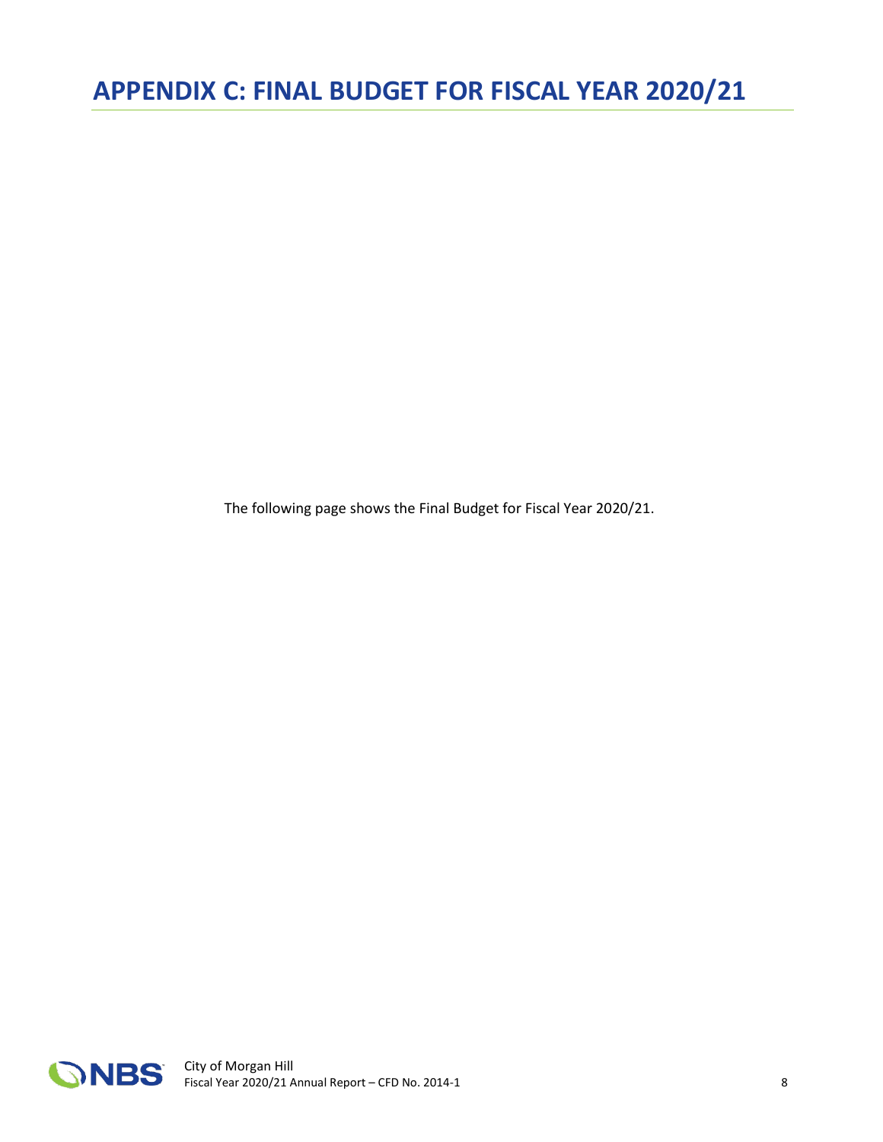<span id="page-15-0"></span>The following page shows the Final Budget for Fiscal Year 2020/21.

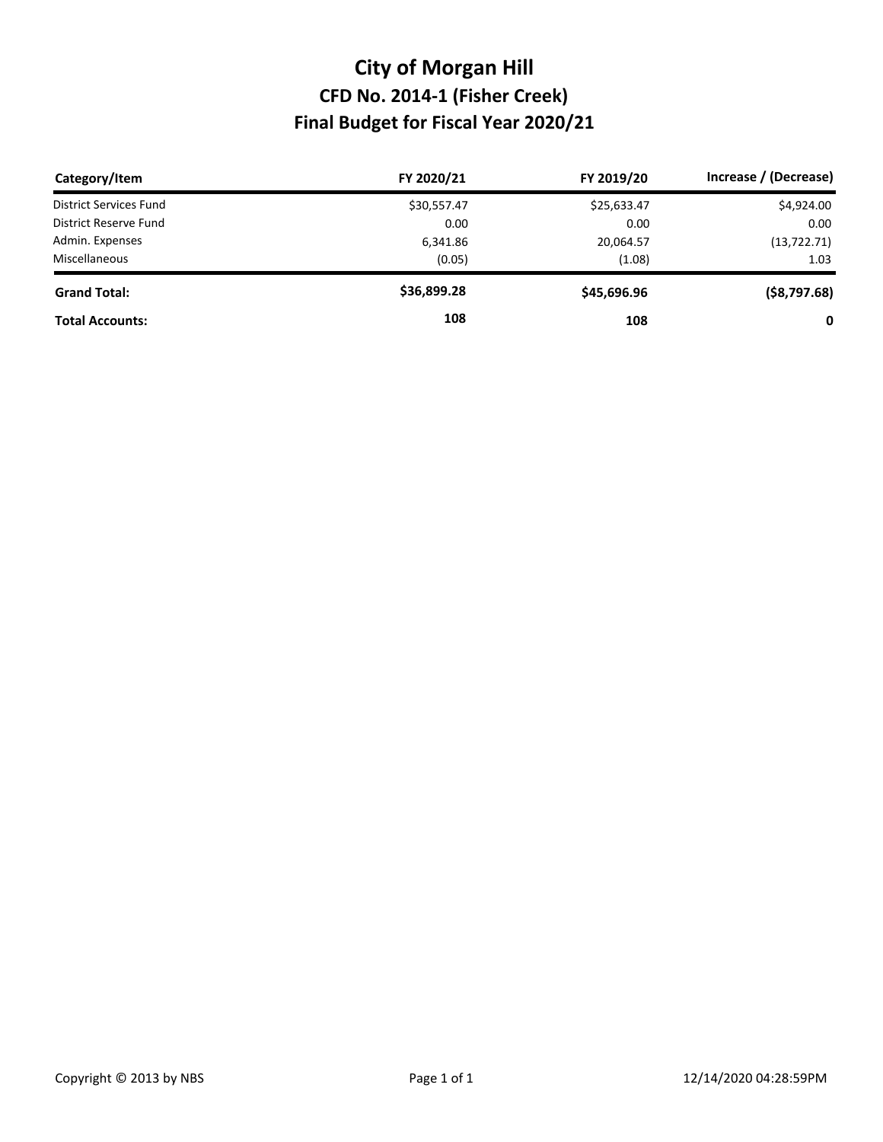## **Final Budget for Fiscal Year 2020/21 CFD No. 2014-1 (Fisher Creek) City of Morgan Hill**

| Category/Item          | FY 2020/21  | FY 2019/20  | Increase / (Decrease) |
|------------------------|-------------|-------------|-----------------------|
| District Services Fund | \$30,557.47 | \$25,633.47 | \$4,924.00            |
| District Reserve Fund  | 0.00        | 0.00        | 0.00                  |
| Admin. Expenses        | 6,341.86    | 20,064.57   | (13, 722.71)          |
| Miscellaneous          | (0.05)      | (1.08)      | 1.03                  |
| <b>Grand Total:</b>    | \$36,899.28 | \$45,696.96 | $($ \$8,797.68)       |
| <b>Total Accounts:</b> | 108         | 108         | 0                     |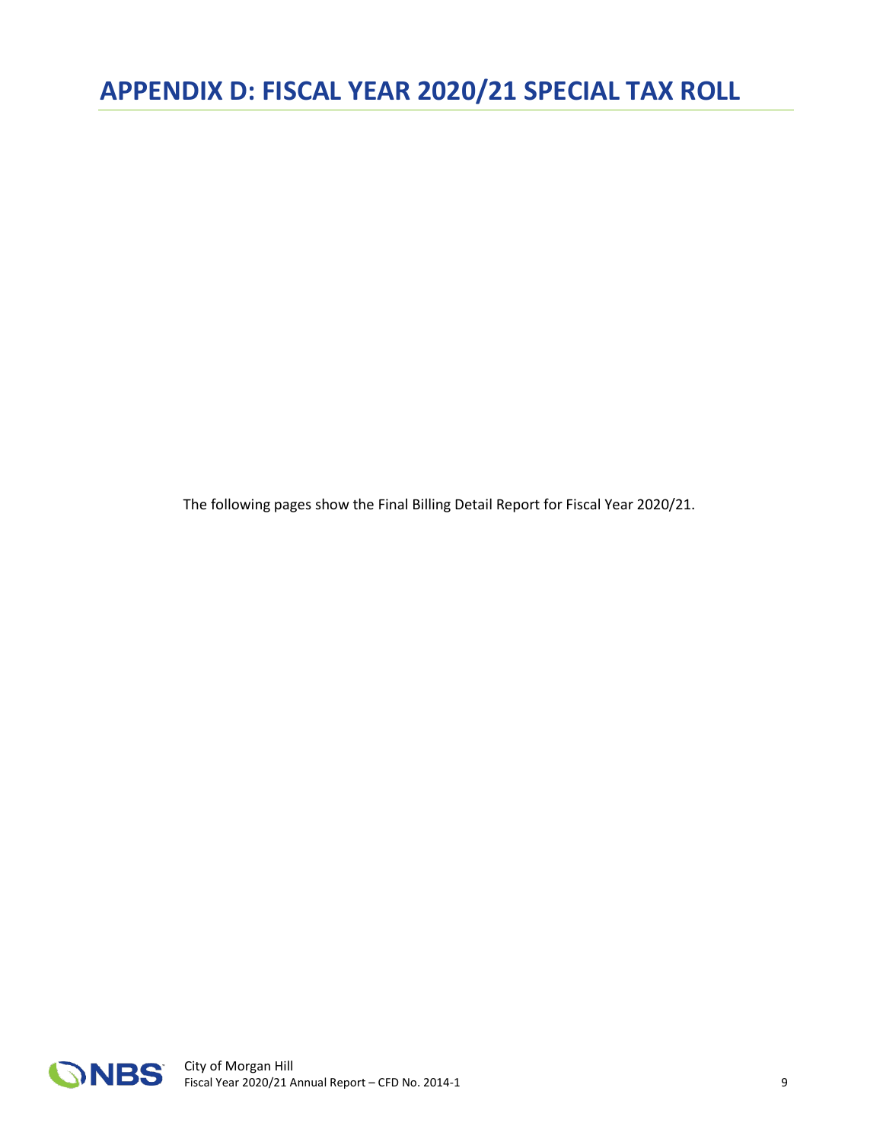<span id="page-17-0"></span>The following pages show the Final Billing Detail Report for Fiscal Year 2020/21.

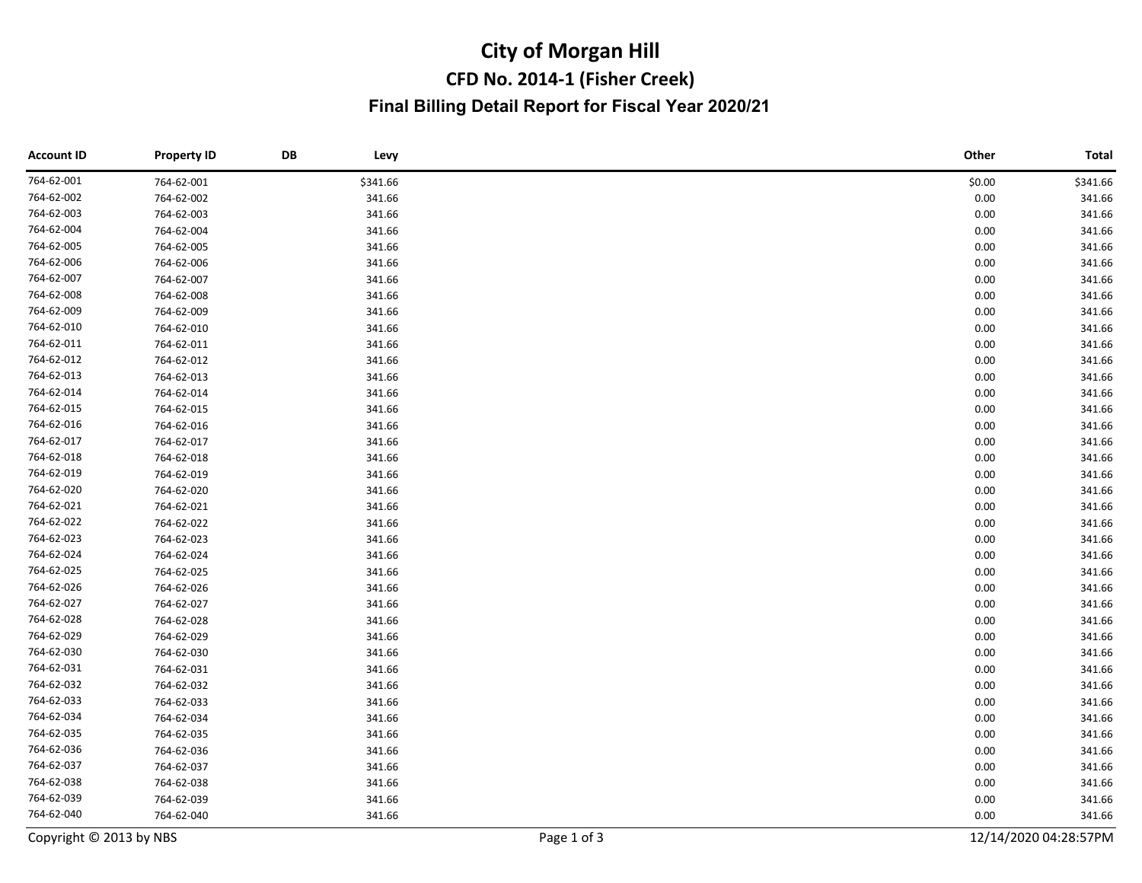## **CFD No. 2014-1 (Fisher Creek) City of Morgan Hill Final Billing Detail Report for Fiscal Year 2020/21**

| <b>Account ID</b>       | <b>Property ID</b> | DB | Levy        |  | Other                 | <b>Total</b> |
|-------------------------|--------------------|----|-------------|--|-----------------------|--------------|
| 764-62-001              | 764-62-001         |    | \$341.66    |  | \$0.00                | \$341.66     |
| 764-62-002              | 764-62-002         |    | 341.66      |  | 0.00                  | 341.66       |
| 764-62-003              | 764-62-003         |    | 341.66      |  | 0.00                  | 341.66       |
| 764-62-004              | 764-62-004         |    | 341.66      |  | 0.00                  | 341.66       |
| 764-62-005              | 764-62-005         |    | 341.66      |  | 0.00                  | 341.66       |
| 764-62-006              | 764-62-006         |    | 341.66      |  | 0.00                  | 341.66       |
| 764-62-007              | 764-62-007         |    | 341.66      |  | 0.00                  | 341.66       |
| 764-62-008              | 764-62-008         |    | 341.66      |  | 0.00                  | 341.66       |
| 764-62-009              | 764-62-009         |    | 341.66      |  | 0.00                  | 341.66       |
| 764-62-010              | 764-62-010         |    | 341.66      |  | 0.00                  | 341.66       |
| 764-62-011              | 764-62-011         |    | 341.66      |  | 0.00                  | 341.66       |
| 764-62-012              | 764-62-012         |    | 341.66      |  | 0.00                  | 341.66       |
| 764-62-013              | 764-62-013         |    | 341.66      |  | 0.00                  | 341.66       |
| 764-62-014              | 764-62-014         |    | 341.66      |  | 0.00                  | 341.66       |
| 764-62-015              | 764-62-015         |    | 341.66      |  | 0.00                  | 341.66       |
| 764-62-016              | 764-62-016         |    | 341.66      |  | 0.00                  | 341.66       |
| 764-62-017              | 764-62-017         |    | 341.66      |  | 0.00                  | 341.66       |
| 764-62-018              | 764-62-018         |    | 341.66      |  | 0.00                  | 341.66       |
| 764-62-019              | 764-62-019         |    | 341.66      |  | 0.00                  | 341.66       |
| 764-62-020              | 764-62-020         |    | 341.66      |  | 0.00                  | 341.66       |
| 764-62-021              | 764-62-021         |    | 341.66      |  | 0.00                  | 341.66       |
| 764-62-022              | 764-62-022         |    | 341.66      |  | 0.00                  | 341.66       |
| 764-62-023              | 764-62-023         |    | 341.66      |  | 0.00                  | 341.66       |
| 764-62-024              | 764-62-024         |    | 341.66      |  | 0.00                  | 341.66       |
| 764-62-025              | 764-62-025         |    | 341.66      |  | 0.00                  | 341.66       |
| 764-62-026              | 764-62-026         |    | 341.66      |  | 0.00                  | 341.66       |
| 764-62-027              | 764-62-027         |    | 341.66      |  | 0.00                  | 341.66       |
| 764-62-028              | 764-62-028         |    | 341.66      |  | 0.00                  | 341.66       |
| 764-62-029              | 764-62-029         |    | 341.66      |  | 0.00                  | 341.66       |
| 764-62-030              | 764-62-030         |    | 341.66      |  | 0.00                  | 341.66       |
| 764-62-031              | 764-62-031         |    | 341.66      |  | 0.00                  | 341.66       |
| 764-62-032              | 764-62-032         |    | 341.66      |  | 0.00                  | 341.66       |
| 764-62-033              | 764-62-033         |    | 341.66      |  | 0.00                  | 341.66       |
| 764-62-034              | 764-62-034         |    | 341.66      |  | 0.00                  | 341.66       |
| 764-62-035              | 764-62-035         |    | 341.66      |  | 0.00                  | 341.66       |
| 764-62-036              | 764-62-036         |    | 341.66      |  | 0.00                  | 341.66       |
| 764-62-037              | 764-62-037         |    | 341.66      |  | 0.00                  | 341.66       |
| 764-62-038              | 764-62-038         |    | 341.66      |  | 0.00                  | 341.66       |
| 764-62-039              | 764-62-039         |    | 341.66      |  | 0.00                  | 341.66       |
| 764-62-040              | 764-62-040         |    | 341.66      |  | 0.00                  | 341.66       |
| Copyright © 2013 by NBS |                    |    | Page 1 of 3 |  | 12/14/2020 04:28:57PM |              |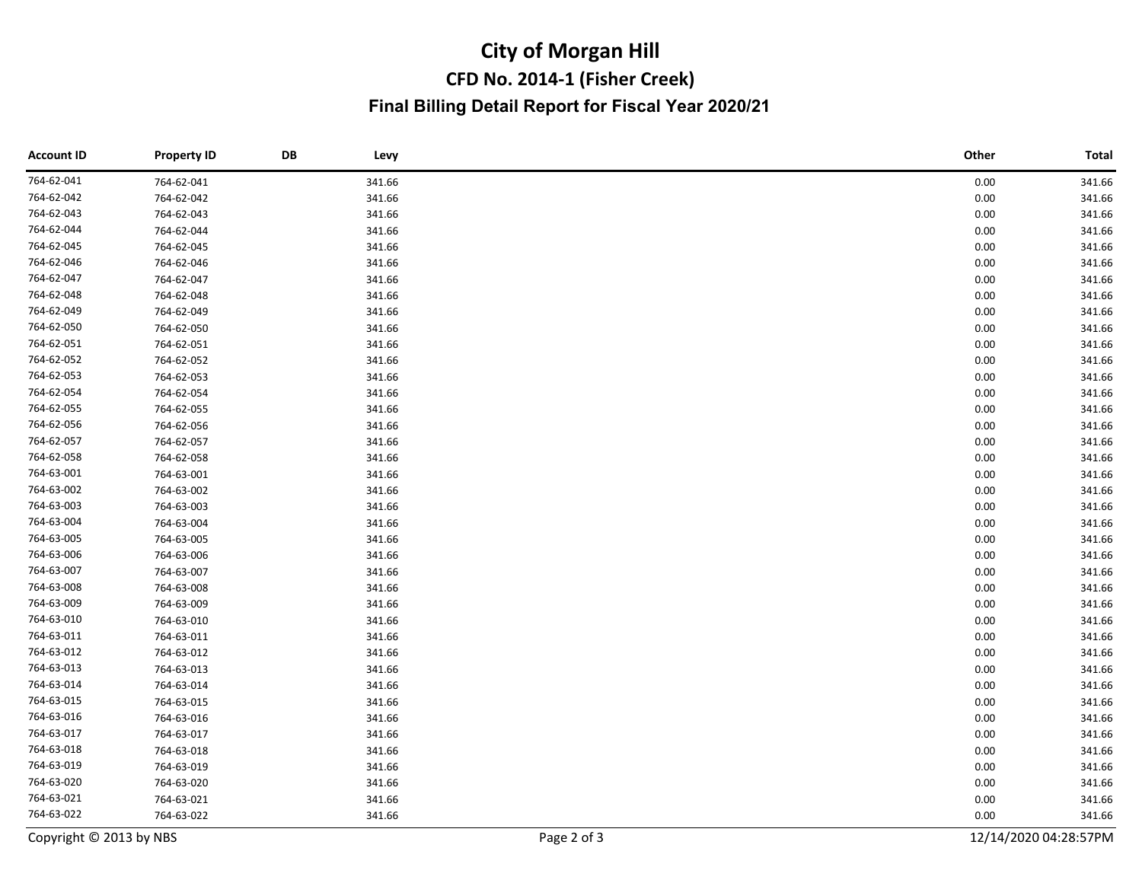## **CFD No. 2014-1 (Fisher Creek) City of Morgan Hill Final Billing Detail Report for Fiscal Year 2020/21**

| <b>Account ID</b>       | <b>Property ID</b> | DB | Levy        |  | Other                 | <b>Total</b> |
|-------------------------|--------------------|----|-------------|--|-----------------------|--------------|
| 764-62-041              | 764-62-041         |    | 341.66      |  | 0.00                  | 341.66       |
| 764-62-042              | 764-62-042         |    | 341.66      |  | 0.00                  | 341.66       |
| 764-62-043              | 764-62-043         |    | 341.66      |  | 0.00                  | 341.66       |
| 764-62-044              | 764-62-044         |    | 341.66      |  | 0.00                  | 341.66       |
| 764-62-045              | 764-62-045         |    | 341.66      |  | 0.00                  | 341.66       |
| 764-62-046              | 764-62-046         |    | 341.66      |  | 0.00                  | 341.66       |
| 764-62-047              | 764-62-047         |    | 341.66      |  | 0.00                  | 341.66       |
| 764-62-048              | 764-62-048         |    | 341.66      |  | 0.00                  | 341.66       |
| 764-62-049              | 764-62-049         |    | 341.66      |  | 0.00                  | 341.66       |
| 764-62-050              | 764-62-050         |    | 341.66      |  | 0.00                  | 341.66       |
| 764-62-051              | 764-62-051         |    | 341.66      |  | 0.00                  | 341.66       |
| 764-62-052              | 764-62-052         |    | 341.66      |  | 0.00                  | 341.66       |
| 764-62-053              | 764-62-053         |    | 341.66      |  | 0.00                  | 341.66       |
| 764-62-054              | 764-62-054         |    | 341.66      |  | 0.00                  | 341.66       |
| 764-62-055              | 764-62-055         |    | 341.66      |  | 0.00                  | 341.66       |
| 764-62-056              | 764-62-056         |    | 341.66      |  | 0.00                  | 341.66       |
| 764-62-057              | 764-62-057         |    | 341.66      |  | 0.00                  | 341.66       |
| 764-62-058              | 764-62-058         |    | 341.66      |  | 0.00                  | 341.66       |
| 764-63-001              | 764-63-001         |    | 341.66      |  | 0.00                  | 341.66       |
| 764-63-002              | 764-63-002         |    | 341.66      |  | 0.00                  | 341.66       |
| 764-63-003              | 764-63-003         |    | 341.66      |  | 0.00                  | 341.66       |
| 764-63-004              | 764-63-004         |    | 341.66      |  | 0.00                  | 341.66       |
| 764-63-005              | 764-63-005         |    | 341.66      |  | 0.00                  | 341.66       |
| 764-63-006              | 764-63-006         |    | 341.66      |  | 0.00                  | 341.66       |
| 764-63-007              | 764-63-007         |    | 341.66      |  | 0.00                  | 341.66       |
| 764-63-008              | 764-63-008         |    | 341.66      |  | 0.00                  | 341.66       |
| 764-63-009              | 764-63-009         |    | 341.66      |  | 0.00                  | 341.66       |
| 764-63-010              | 764-63-010         |    | 341.66      |  | 0.00                  | 341.66       |
| 764-63-011              | 764-63-011         |    | 341.66      |  | 0.00                  | 341.66       |
| 764-63-012              | 764-63-012         |    | 341.66      |  | 0.00                  | 341.66       |
| 764-63-013              | 764-63-013         |    | 341.66      |  | 0.00                  | 341.66       |
| 764-63-014              | 764-63-014         |    | 341.66      |  | 0.00                  | 341.66       |
| 764-63-015              | 764-63-015         |    | 341.66      |  | 0.00                  | 341.66       |
| 764-63-016              | 764-63-016         |    | 341.66      |  | 0.00                  | 341.66       |
| 764-63-017              | 764-63-017         |    | 341.66      |  | 0.00                  | 341.66       |
| 764-63-018              | 764-63-018         |    | 341.66      |  | 0.00                  | 341.66       |
| 764-63-019              | 764-63-019         |    | 341.66      |  | 0.00                  | 341.66       |
| 764-63-020              | 764-63-020         |    | 341.66      |  | 0.00                  | 341.66       |
| 764-63-021              | 764-63-021         |    | 341.66      |  | 0.00                  | 341.66       |
| 764-63-022              | 764-63-022         |    | 341.66      |  | 0.00                  | 341.66       |
| Copyright © 2013 by NBS |                    |    | Page 2 of 3 |  | 12/14/2020 04:28:57PM |              |